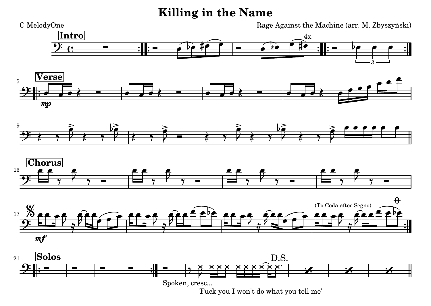## **Killing in the Name**



['Fuck you I won't do what you tell me'](textedit:///tmp/killing_in_the_name.ly:72:11:11)